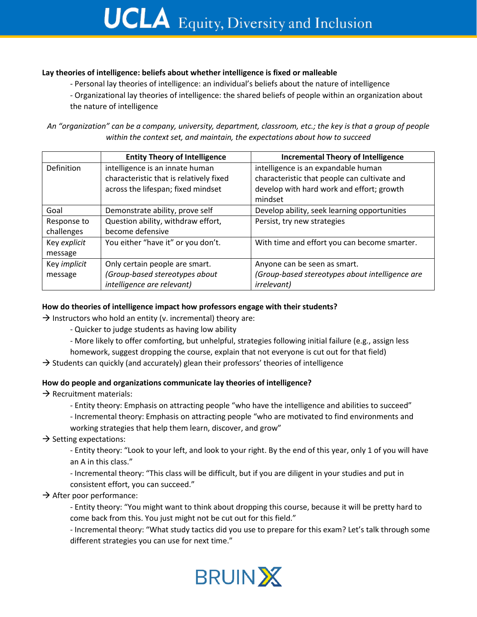# **UCLA** Equity, Diversity and Inclusion

#### **Lay theories of intelligence: beliefs about whether intelligence is fixed or malleable**

- Personal lay theories of intelligence: an individual's beliefs about the nature of intelligence
- Organizational lay theories of intelligence: the shared beliefs of people within an organization about the nature of intelligence

*An "organization" can be a company, university, department, classroom, etc.; the key is that a group of people within the context set, and maintain, the expectations about how to succeed*

|              | <b>Entity Theory of Intelligence</b>    | <b>Incremental Theory of Intelligence</b>       |
|--------------|-----------------------------------------|-------------------------------------------------|
| Definition   | intelligence is an innate human         | intelligence is an expandable human             |
|              | characteristic that is relatively fixed | characteristic that people can cultivate and    |
|              | across the lifespan; fixed mindset      | develop with hard work and effort; growth       |
|              |                                         | mindset                                         |
| Goal         | Demonstrate ability, prove self         | Develop ability, seek learning opportunities    |
| Response to  | Question ability, withdraw effort,      | Persist, try new strategies                     |
| challenges   | become defensive                        |                                                 |
| Key explicit | You either "have it" or you don't.      | With time and effort you can become smarter.    |
| message      |                                         |                                                 |
| Key implicit | Only certain people are smart.          | Anyone can be seen as smart.                    |
| message      | (Group-based stereotypes about          | (Group-based stereotypes about intelligence are |
|              | intelligence are relevant)              | <i>irrelevant)</i>                              |

### **How do theories of intelligence impact how professors engage with their students?**

 $\rightarrow$  Instructors who hold an entity (v. incremental) theory are:

- Quicker to judge students as having low ability
- More likely to offer comforting, but unhelpful, strategies following initial failure (e.g., assign less

homework, suggest dropping the course, explain that not everyone is cut out for that field)

 $\rightarrow$  Students can quickly (and accurately) glean their professors' theories of intelligence

#### **How do people and organizations communicate lay theories of intelligence?**

- $\rightarrow$  Recruitment materials:
	- Entity theory: Emphasis on attracting people "who have the intelligence and abilities to succeed"
	- Incremental theory: Emphasis on attracting people "who are motivated to find environments and working strategies that help them learn, discover, and grow"
- $\rightarrow$  Setting expectations:
	- Entity theory: "Look to your left, and look to your right. By the end of this year, only 1 of you will have an A in this class."
	- Incremental theory: "This class will be difficult, but if you are diligent in your studies and put in consistent effort, you can succeed."
- $\rightarrow$  After poor performance:
	- Entity theory: "You might want to think about dropping this course, because it will be pretty hard to come back from this. You just might not be cut out for this field."
	- Incremental theory: "What study tactics did you use to prepare for this exam? Let's talk through some different strategies you can use for next time."